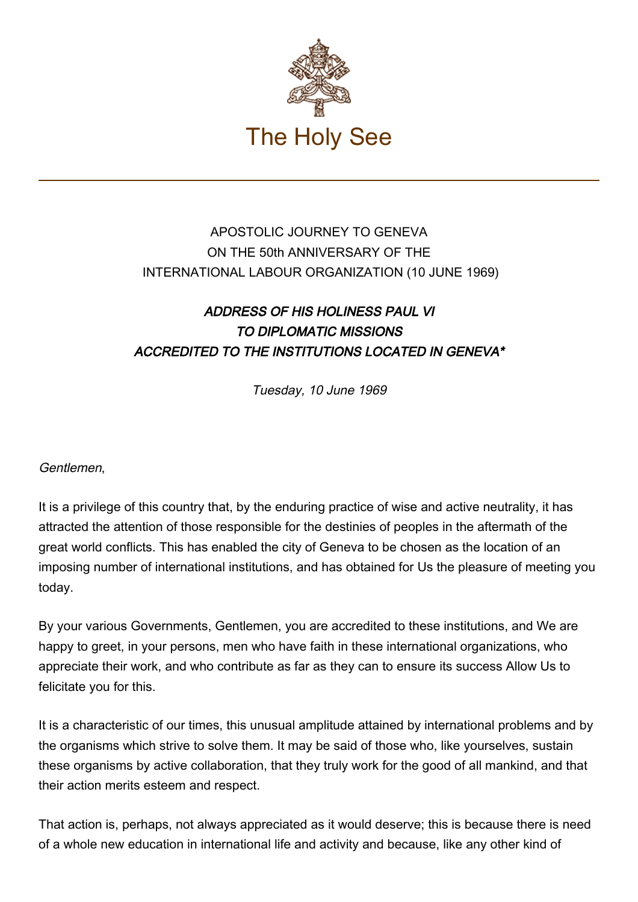

## APOSTOLIC JOURNEY TO GENEVA ON THE 50th ANNIVERSARY OF THE INTERNATIONAL LABOUR ORGANIZATION (10 JUNE 1969)

## ADDRESS OF HIS HOLINESS PAUL VI TO DIPLOMATIC MISSIONS ACCREDITED TO THE INSTITUTIONS LOCATED IN GENEVA\*

Tuesday, 10 June 1969

Gentlemen,

It is a privilege of this country that, by the enduring practice of wise and active neutrality, it has attracted the attention of those responsible for the destinies of peoples in the aftermath of the great world conflicts. This has enabled the city of Geneva to be chosen as the location of an imposing number of international institutions, and has obtained for Us the pleasure of meeting you today.

By your various Governments, Gentlemen, you are accredited to these institutions, and We are happy to greet, in your persons, men who have faith in these international organizations, who appreciate their work, and who contribute as far as they can to ensure its success Allow Us to felicitate you for this.

It is a characteristic of our times, this unusual amplitude attained by international problems and by the organisms which strive to solve them. It may be said of those who, like yourselves, sustain these organisms by active collaboration, that they truly work for the good of all mankind, and that their action merits esteem and respect.

That action is, perhaps, not always appreciated as it would deserve; this is because there is need of a whole new education in international life and activity and because, like any other kind of